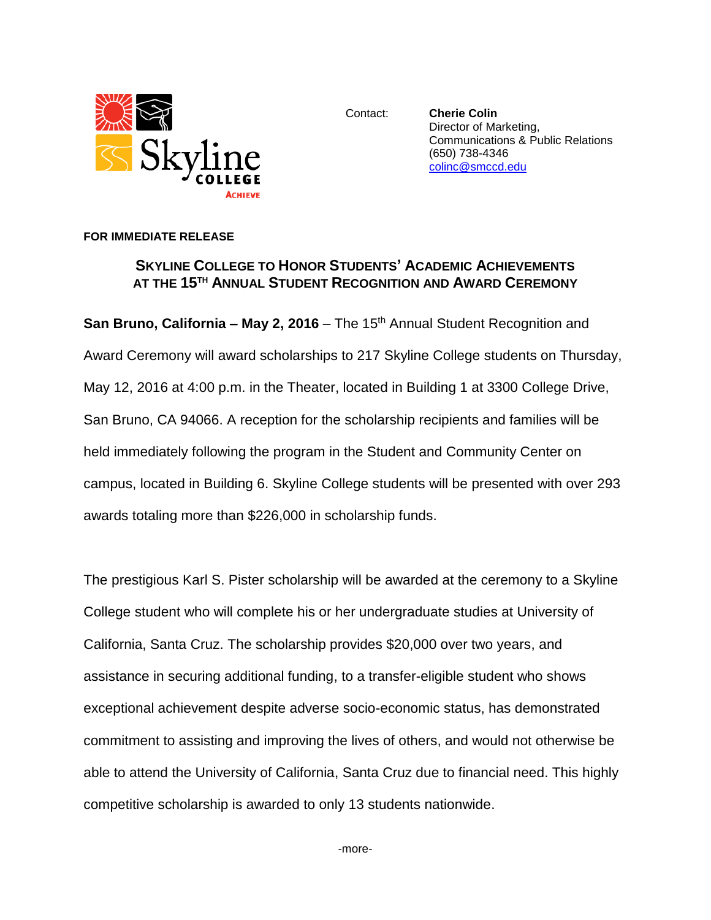

Contact: **Cherie Colin** Director of Marketing, Communications & Public Relations (650) 738-4346 [colinc@smccd.edu](mailto:colinc@smccd.edu)

## **FOR IMMEDIATE RELEASE**

## **SKYLINE COLLEGE TO HONOR STUDENTS' ACADEMIC ACHIEVEMENTS AT THE 15TH ANNUAL STUDENT RECOGNITION AND AWARD CEREMONY**

**San Bruno, California – May 2, 2016** – The 15<sup>th</sup> Annual Student Recognition and Award Ceremony will award scholarships to 217 Skyline College students on Thursday, May 12, 2016 at 4:00 p.m. in the Theater, located in Building 1 at 3300 College Drive, San Bruno, CA 94066. A reception for the scholarship recipients and families will be held immediately following the program in the Student and Community Center on campus, located in Building 6. Skyline College students will be presented with over 293 awards totaling more than \$226,000 in scholarship funds.

The prestigious Karl S. Pister scholarship will be awarded at the ceremony to a Skyline College student who will complete his or her undergraduate studies at University of California, Santa Cruz. The scholarship provides \$20,000 over two years, and assistance in securing additional funding, to a transfer-eligible student who shows exceptional achievement despite adverse socio-economic status, has demonstrated commitment to assisting and improving the lives of others, and would not otherwise be able to attend the University of California, Santa Cruz due to financial need. This highly competitive scholarship is awarded to only 13 students nationwide.